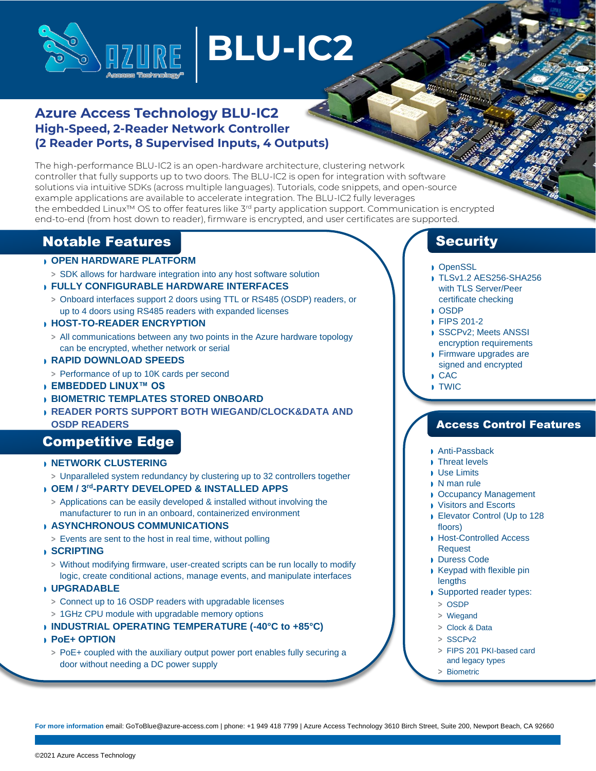

# **BLU-IC2**

## **Azure Access Technology BLU-IC2 High-Speed, 2-Reader Network Controller (2 Reader Ports, 8 Supervised Inputs, 4 Outputs)**

The high-performance BLU-IC2 is an open-hardware architecture, clustering network controller that fully supports up to two doors. The BLU-IC2 is open for integration with software solutions via intuitive SDKs (across multiple languages). Tutorials, code snippets, and open-source example applications are available to accelerate integration. The BLU-IC2 fully leverages the embedded Linux™ OS to offer features like 3<sup>rd</sup> party application support. Communication is encrypted end-to-end (from host down to reader), firmware is encrypted, and user certificates are supported.

## Notable Features

## ◗ **OPEN HARDWARE PLATFORM**

**>** SDK allows for hardware integration into any host software solution

## ◗ **FULLY CONFIGURABLE HARDWARE INTERFACES**

**>** Onboard interfaces support 2 doors using TTL or RS485 (OSDP) readers, or up to 4 doors using RS485 readers with expanded licenses

## ◗ **HOST-TO-READER ENCRYPTION**

**>** All communications between any two points in the Azure hardware topology can be encrypted, whether network or serial

## ◗ **RAPID DOWNLOAD SPEEDS**

- **>** Performance of up to 10K cards per second
- ◗ **EMBEDDED LINUX™ OS**
- ◗ **BIOMETRIC TEMPLATES STORED ONBOARD**
- ◗ **READER PORTS SUPPORT BOTH WIEGAND/CLOCK&DATA AND OSDP READERS**

## **Competitive Edge**

#### ◗ **NETWORK CLUSTERING**

**>** Unparalleled system redundancy by clustering up to 32 controllers together

## ◗ **OEM / 3 rd -PARTY DEVELOPED & INSTALLED APPS**

**>** Applications can be easily developed & installed without involving the manufacturer to run in an onboard, containerized environment

#### ◗ **ASYNCHRONOUS COMMUNICATIONS**

- **>** Events are sent to the host in real time, without polling
- ◗ **SCRIPTING**
	- **>** Without modifying firmware, user-created scripts can be run locally to modify logic, create conditional actions, manage events, and manipulate interfaces

#### ◗ **UPGRADABLE**

- **>** Connect up to 16 OSDP readers with upgradable licenses
- **>** 1GHz CPU module with upgradable memory options
- ◗ **INDUSTRIAL OPERATING TEMPERATURE (-40°C to +85°C)**
- ◗ **PoE+ OPTION**
- **>** PoE+ coupled with the auxiliary output power port enables fully securing a door without needing a DC power supply

## **Security**

- ◗ OpenSSL
- ◗ TLSv1.2 AES256-SHA256 with TLS Server/Peer certificate checking
- ◗ OSDP
- ◗ FIPS 201-2
- ◗ SSCPv2; Meets ANSSI encryption requirements
- ◗ Firmware upgrades are signed and encrypted
- ◗ CAC
- ◗ TWIC

## Access Control Features

- ◗ Anti-Passback
- ◗ Threat levels
- ◗ Use Limits
- ◗ N man rule
- ◗ Occupancy Management
- ◗ Visitors and Escorts
- ◗ Elevator Control (Up to 128 floors)
- ◗ Host-Controlled Access Request
- ◗ Duress Code
- ◗ Keypad with flexible pin lengths
- ◗ Supported reader types:
	- **>** OSDP
	- **>** Wiegand
	- **>** Clock & Data
	- **>** SSCPv2
	- **>** FIPS 201 PKI-based card and legacy types
	- **>** Biometric